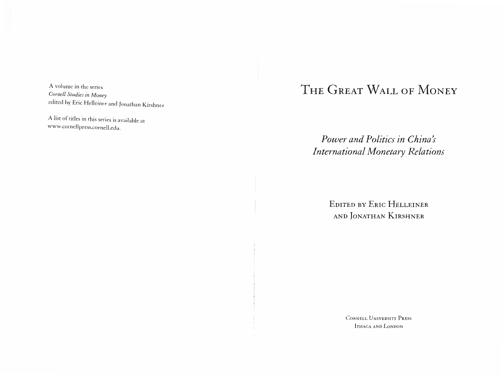A volume in the series *Cornell Studies in Money*  edited by Eric Helleiner and Jonathan Kirshner

A list of titles in this series is available at www.cornellpress.cornell.edu.

# THE GREAT WALL oF MoNEY

*Power and Politics in China's International Monetary Relations* 

> EDITED BY ERIC HELLEINER AND JoNATHAN KIRSHNER

> > CoRNELL UNIVERSITY PREss ITHACA AND LoNDON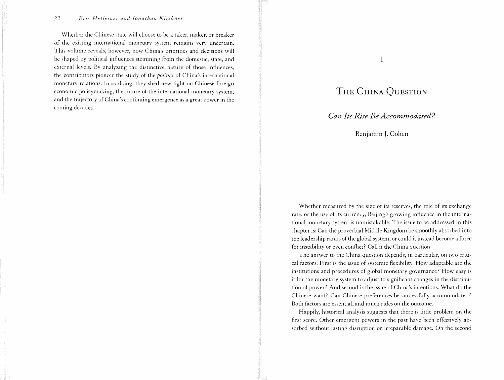#### 22 Eric Helleiner and Jonathan Kirshner

Whether the Chinese state will choose to be a taker, maker, or breaker of the existing international monetary system remains very uncertain. This volume reveals, however, how China's priorities and decisions will be shaped by political influences stemming from the domestic, state, and external levels. By analyzing the distinctive nature of those influences, the contributors pioneer the study of the *politics* of China's international monetary relations. In so doing, they shed new light on Chinese foreign economic policymaking, the future of the international monetary system, and the trajectory of China's continuing emergence as a great power in the coming decades.

# THE CHINA QUESTION

# *Can Its Rise Be Accommodated?*

Benjamin J. Cohen

Whether measured by the size of its reserves, the role of its exchange rate, or the use of its currency, Beijing's growing influence in the international monetary system is unmistakable. The issue to be addressed in this chapter is: Can the proverbial Middle Kingdom be smoothly absorbed into the leadership ranks of the global system, or could it instead become a force for instability or even conflict? Call it the China question.

The answer to the China question depends, in particular, on two critical factors. First is the issue of systemic flexibility. How adaptable are the institutions and procedures of global monetary governance? How easy is it for the monetary system to adjust to significant changes in the distribution of power? And second is the issue of China's intentions. What do the Chinese want? Can Chinese preferences be successfully accommodated? Both factors are essential, and much rides on the outcome.

Happily, historical analysis suggests that there is little problem on the first score. Other emergent powers in the past have been effectively absorbed without lasting disruption or irreparable damage. On the second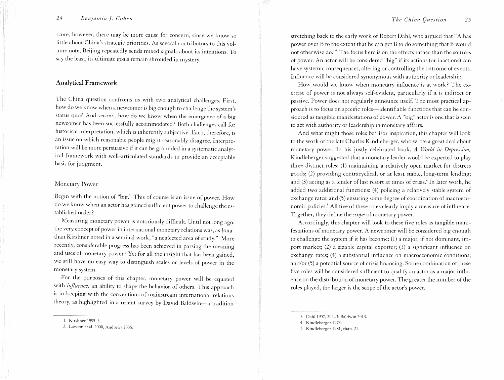score, however, there may be more cause for concern, since we know so little about China's strategic priorities. As several contributors to this volume note, Beijing repeatedly sends mixed signals about its intentions. To say the least, its ultimate goals remain shrouded in mystery.

#### Analytical Framework

The China question confronts us with two analytical challenges. First, how do we know when a newcomer is big enough to challenge the system's status quo? And second, how do we know when the emergence of a big newcomer has been successfully accommodated? Both challenges call for historical interpretation, which is inherently subjective. Each, therefore, is an issue on which reasonable people might reasonably disagree. Interpretation will be more persuasive if it can be grounded in a systematic analytical framework with well-articulated standards to provide an acceptable basis for judgment.

#### Monetary Power

Begin with the notion of "big." This of course is an issue of power. How do we know when an actor has gained sufficient power to challenge the established order?

Measuring monetary power is notoriously difficult. Until not long ago, the very concept of power in international monetary relations was, as Jonathan Kirshner noted in a seminal work, "a neglected area of study." 1 More recently, considerable progress has been achieved in parsing the meaning and uses of monetary power.<sup>2</sup> Yet for all the insight that has been gained, we still have no easy way to distinguish scales or levels of power in the monetary system.

For the purposes of this chapter, monetary power will be equated with *influence:* an ability to shape the behavior of others. This approach is in keeping with the conventions of mainstream international relations theory, as highlighted in a recent survey by David Baldwin-a tradition

stretching back to the early work of Robert Dahl, who argued that "A has power over B to the extent that he can get B to do something that B would not otherwise *do."* <sup>3</sup>The focus here is on the effects rather than the sources of power. An actor will be considered "big" if its actions (or inactions) can have systemic consequences, altering or controlling the outcome of events. Influence will be considered synonymous with authority or leadership.

How would we know when monetary influence is at work? The exercise of power is not always self-evident, particularly if it is indirect or passive. Power does not regularly announce itself. The most practical approach is to focus on specific roles-identifiable functions that can be considered as tangible manifestations of power. A "big" actor is one that is seen to act with authority or leadership in monetary affairs.

And what might those roles be? For inspiration, this chapter will look to the work of the late Charles Kindleberger, who wrote a great deal about monetary power. In his justly celebrated book, *A World in Depression,*  Kindleberger suggested that a monetary leader would be expected to play three distinct roles: (1) maintaining a relatively open market for distress goods; (2) providing contracyclical, or at least stable, long-term lending; and (3) acting as a lender of last resort at times of crisis. 4 In later work, he added two additional functions: (4) policing a relatively stable system of exchange rates; and (5) ensuring some degree of coordination of macroeconomic policies.<sup>5</sup> All five of these roles clearly imply a measure of influence. Together, they define the *scope* of monetary power.

Accordingly, this chapter will look to these five roles as tangible manifestations of monetary power. A newcomer will be considered big enough to challenge the system if it has become: (1) a major, if not dominant, import market; (2) a sizable capital exporter; (3) a significant influence on exchange rates; (4) a substantial influence on macroeconomic conditions; and/or (5) a potential source of crisis financing. Some combination of these five roles will be considered sufficient to qualify an actor as a major influence on the distribution of monetary power. The greater the number of the roles played, the larger is the scope of the actor's power.

4. Kindleberger 1973.

I. Kirshner 1995, 3.

<sup>2.</sup> Lawton et al. 2000, Andrews 2006.

<sup>3.</sup> Dahl 1957, 202-3; Baldwin 2013.

<sup>5.</sup> Kindleberger 1981, chap. 21.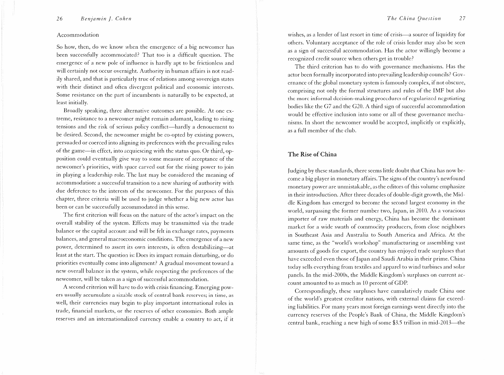#### Accommodation

So how, then, do we know when the emergence of a big newcomer has been successfully accommodated? That too is a difficult question. The emergence of a new pole of influence is hardly apt to be frictionless and will certainly not occur overnight. Authority in human affairs is not readily shared, and that is particularly true of relations among sovereign states with their distinct and often divergent political and economic interests. Some resistance on the part of incumbents is naturally to be expected, at least initially.

Broadly speaking, three alternative outcomes are possible. At one extreme, resistance to a newcomer might remain adamant, leading to rising tensions and the risk of serious policy conflict-hardly a denouement to be desired. Second, the newcomer might be co-opted by existing powers, persuaded or coerced into aligning its preferences with the prevailing rules of the game-in effect, into acquiescing with the status quo. Or third, opposition could eventually give way to some measure of acceptance of the newcomer's priorities, with space carved out for the rising power to join in playing a leadership role. The last may be considered the meaning of accommodation: a successful transition to a new sharing of authority with due deference to the interests of the newcomer. For the purposes of this chapter, three criteria will be used to judge whether a big new actor has been or can be successfully accommodated in this sense.

The first criterion will focus on the nature of the actor's impact on the overall stability of the system. Effects may be transmitted via the trade balance or the capital account and will be felt in exchange rates, payments balances, and general macroeconomic conditions. The emergence of a new power, determined to assert its own interests, is often destabilizing-at least at the start. The question is: Does its impact remain disturbing, or do priorities eventually come into alignment? A gradual movement toward a new overall balance in the system, while respecting the preferences of the newcomer, will be taken as a sign of successful accommodation.

A second criterion will have to do with crisis financing. Emerging powers usually accumulate a sizable stock of central bank reserves; in time, as well, their currencies may begin to play important international roles in trade, financial markets, or the reserves of other economies. Both ample reserves and an internationalized currency enable a country to act, if it

wishes, as a lender of last resort in time of crisis-a source of liquidity for others. Voluntary acceptance of the role of crisis lender may also be seen as a sign of successful accommodation. Has the actor willingly become a recognized credit source when others get in trouble?

The third criterion has to do with governance mechanisms. Has the actor been formally incorporated into prevailing leadership councils? Governance of the global monetary system is famously complex, if not obscure, comprising not only the formal structures and rules of the IMF but also the more informal decision-making procedures of regularized negotiating bodies like the G7 and the G20. A third sign of successful accommodation would be effective inclusion into some or all of these governance mechanisms. In short the newcomer would be accepted, implicitly or explicitly, as a full member of the club.

### The Rise of China

Judging by these standards, there seems little doubt that China has now become a big player in monetary affairs. The signs of the country's newfound monetary power are unmistakable, as the editors of this volume emphasize in their introduction. After three decades of double-digit growth, the Middle Kingdom has emerged to become the second largest economy in the world, surpassing the former number two, Japan, in 2010. As a voracious importer of raw materials and energy, China has become the dominant market for a wide swath of commodity producers, from close neighbors in Southeast Asia and Australia to South America and Africa. At the same time, as the "world's workshop" manufacturing or assembling vast amounts of goods for export, the country has enjoyed trade surpluses that have exceeded even those of Japan and Saudi Arabia in their prime. China today sells everything from textiles and apparel to wind turbines and solar panels. In the mid-2000s, the Middle Kingdom's surpluses on current account amounted to as much as 10 percent of GDP.

Correspondingly, these surpluses have cumulatively made China one of the world's greatest creditor nations, with external claims fax exceeding liabilities. For many years most foreign earnings went directly into the currency reserves of the People's Bank of China, the Middle Kingdom's central bank, reaching a new high of some  $$3.5$  trillion in mid-2013—the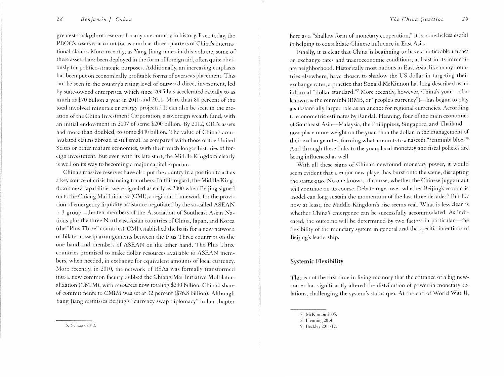greatest stockpile of reserves for any one country in history. Even today, the PBOC's reserves account for as much as three-quarters of China's international claims. More recently, as Yang Jiang notes in this volume, some of these assets have been deployed in the form of foreign aid, often quite obviously for politico-strategic purposes. Additionally, an increasing emphasis has been put on economically profitable forms of overseas placement. This can be seen in the country's rising level of outward direct investment, led by state-owned enterprises, which since 2005 has accelerated rapidly to as much as \$70 billion a year in 2010 and 2011. More than 80 percent of the total involved minerals or energy projects.<sup>6</sup> It can also be seen in the creation of the China Investment Corporation, a sovereign wealth fund, with an initial endowment in 2007 of some \$200 billion. By 2012, CIC's assets had more than doubled, to some \$440 billion. The value of China's accumulated claims abroad is still small as compared with those of the United States or other mature economies, with their much longer histories of foreign investment. But even with its late start, the Middle Kingdom clearly is well on its way to becoming a major capital exporter.

China's massive reserves have also put the country in a position to act as a key source of crisis financing for others. In this regard, the Middle Kingdom's new capabilities were signaled as early as 2000 when Beijing signed on to the Chiang Mai Initiative (CMI), a regional framework for the provision of emergency liquidity assistance negotiated by the so-called ASEAN + 3 group—the ten members of the Association of Southeast Asian Nations plus the three Northeast Asian countries of China, Japan, and Korea (the "Plus Three" countries). CMI established the basis for a new network of bilateral swap arrangements between the Plus Three countries on the one hand and members of ASEAN on the other hand. The Plus Three countries promised to make dollar resources available to ASEAN members, when needed, in exchange for equivalent amounts of local currency. More recently, in 2010, the network of BSAs was formally transformed into a new common facility dubbed the Chiang Mai Initiative Multilateralization (CMIM), with resources now totaling \$240 billion. China's share of commitments to CMIM was set at 32 percent (\$76.8 billion). Although Yang Jiang dismisses Beijing's "currency swap diplomacy" in her chapter

here as a "shallow form of monetary cooperation," it is nonetheless useful in helping to consolidate Chinese influence in East Asia.

Finally, it is clear that China is beginning to have a noticeable impact on exchange rates and macroeconomic conditions, at least in its immediate neighborhood. Historically most nations in East Asia, like many countries elsewhere, have chosen to shadow the US dollar in targeting their exchange rates, a practice that Ronald McKinnon has long described as an informal "dollar standard."7 More recently, however, China's yuan-also known as the renminbi (RMB, or "people's currency")—has begun to play a substantially larger role as an anchor for regional currencies. According to econometric estimates by Randall Henning, four of the main economies of Southeast Asia-Malaysia, the Philippines, Singapore, and Thailandnow place more weight on the yuan than the dollar in the management of their exchange rates, forming what amounts to a nascent "renminbi bloc."<sup>8</sup> And through these links to the yuan, local monetary and fiscal policies are being influenced as well.

With all these signs of China's newfound monetary power, it would seem evident that a major new player has burst onto the scene, disrupting the status quo. No one knows, of course, whether the Chinese juggernaut will continue on its course. Debate rages over whether Beijing's economic model can long sustain the momentum of the last three decades.<sup>9</sup> But for now at least, the Middle Kingdom's rise seems real. What is less clear is whether China's emergence can be successfully accommodated. As indicated, the outcome will be determined by two factors in particular-the flexibility of the monetary system in general and the specific intentions of Beijing's leadership.

# Systemic Flexibility

This is not the first time in living memory that the entrance of a big newcomer has significantly altered the distribution of power in monetary relations, challenging the system's status quo. At the end of World War

<sup>6.</sup> Scissors 2012.

<sup>7.</sup> McKinnon 2005.

<sup>8.</sup> Henning 2014.

<sup>9.</sup> Beckley 2011/12.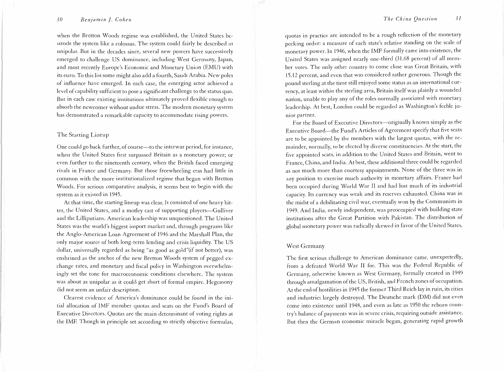#### *The China Question 31*

#### *30 Benjamin]. Cohen*

when the Bretton Woods regime was established, the United States bestrode the system like a colossus. The system could fairly be described as unipolar. But in the decades since, several new powers have successively emerged to challenge US dominance, including *West* Germany, Japan, and most recently Europe's Economic and Monetary Union (EMU) with its euro. To this list some might also add a fourth, Saudi Arabia. *New* poles of influence have emerged. In each case, the emerging actor achieved a level of capability sufficient to pose a significant challenge to the status quo. But in each case existing institutions ultimately proved flexible enough to absorb the newcomer without undue stress. The modern monetary system has demonstrated a remarkable capacity to accommodate rising powers.

#### The Starting Lineup

One could go back further, of course—to the interwar period, for instance, when the United States first surpassed Britain as a monetary power; or even further to the nineteenth century, when the British faced emerging rivals in France and Germany. But those freewheeling eras had little in common with the more institutionalized regime that began with Bretton Woods. For serious comparative analysis, it *seems* best to begin with the system as it existed in 1945.

At that time, the starting lineup was clear. It consisted of one heavy hitter, the United States, and a motley cast of supporting players—Gulliver and the Lilliputians. American leadership was unquestioned. The United States was the world's biggest import market and, through programs like the Anglo-American Loan Agreement of 1946 and the Marshall Plan, the only major source of both long-term lending and crisis liquidity. The US dollar, universally regarded as being "as good as gold"(if not better), was enshrined as the anchor of the new Bretton Woods system of pegged *ex*change rates, and monetary and fiscal policy in Washington overwhelmingly *set* the tone for macroeconomic conditions elsewhere. The system was about as unipolar as it could get short of formal empire. Hegemony did not seem an unfair description.

Clearest evidence of America's dominance could be found in the initial allocation of IMP member quotas and seats on the Fund's Board of Executive Directors. Quotas are the main determinant of voting rights at the IMP. Though in principle *set* according to strictly objective formulas,

quotas in practice are intended to be a rough reflection of the monetary pecking order: a measure of each state's relative standing on the scale of monetary power. In 1946, when the IMP formally came into existence, the United States was assigned nearly one-third (31.68 percent) of all member votes. The only other country to *come* close was Great Britain, with 15.12 percent, and even that was considered rather generous. Though the pound sterling at the time still enjoyed *some* status as an international currency, at least within the sterling area, Britain itself was plainly a wounded nation, unable to play any of the roles normally associated with monetary leadership. At best, London could *be* regarded as Washington's feeble junior partner.

For the Board of Executive Directors—originally known simply as the Executive Board-the Fund's Articles of Agreement specify that five seats are to *be* appointed by the members with the largest quotas, with the remainder, normally, to *be* elected by diverse constituencies. At the start, the five appointed seats, in addition to the United States and Britain, went to France, China, and India. At *best,* these additional three could *be* regarded as not much more than courtesy appointments. None of the three was in any position to exercise much authority in monetary affairs. France had been occupied during World War II and had lost much of its industrial capacity. Its currency was weak and its reserves exhausted. China was in the midst of a debilitating civil war, eventually won by the Communists in 1949. And India, newly independent, was preoccupied with building state institutions after the Great Partition with Pakistan. The distribution of global monetary power was radically skewed in favor of the United States.

#### West Germany

The first serious challenge to American dominance came, unexpectedly, from a defeated World War II foe. This was the Federal Republic of Germany, otherwise known as West Germany, formally created in 1949 through amalgamation of the US, British, and French zones of occupation. At the end of hostilities in 1945 the former Third Reich lay in ruin, its cities and industries largely destroyed. The Deutsche mark (DM) did not even come into existence until 1948, and even as late as 1950 the reborn country's balance of payments was in severe crisis, requiring outside assistance. But then the German economic miracle began, generating rapid growth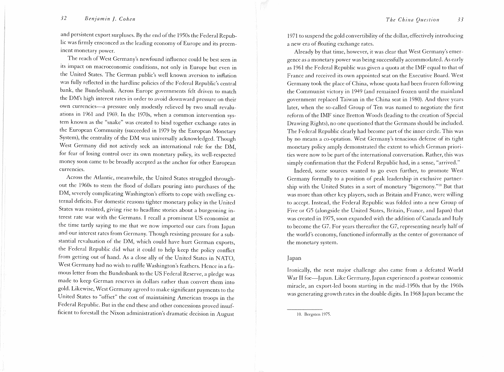and persistent export surpluses. By the end of the 1950s the Federal Republic was firmly ensconced as the leading economy of Europe and its preeminent monetary power.

The reach of West Germany's newfound influence could be best seen in its impact on macroeconomic conditions, not only in Europe but even in the United States. The German public's well known aversion to inflation was fully reflected in the hardline policies of the Federal Republic's central bank, the Bundesbank. Across Europe governments felt driven to match the DM's high interest rates in order to avoid downward pressure on their own currencies-a pressure only modestly relieved by two small revaluations in 1961 and 1969. In the 1970s, when a common intervention system known as the "snake" was created to bind together exchange rates in the European Community (succeeded in 1979 by the European Monetary System), the centrality of the DM was universally acknowledged. Though West Germany did not actively seek an international role for the DM, for fear of losing control over its own monetary policy, its well-respected money soon came to be broadly accepted as the anchor for other European currencies.

Across the Atlantic, meanwhile, the United States struggled throughout the 1960s to stem the flood of dollars pouring into purchases of the DM, severely complicating Washington's efforts to cope with swelling external deficits. For domestic reasons tighter monetary policy in the United States was resisted, giving rise to headline stories about a burgeoning interest rate war with the Germans. I recall a prominent US economist at the time tartly saying to me that we now imported our cars from Japan and our interest rates from Germany. Though resisting pressure for a substantial revaluation of the DM, which could have hurt German exports, the Federal Republic did what it could to help keep the policy conflict from getting out of hand. As a close ally of the United States in NATO, West Germany had no wish to ruffle Washington's feathers. Hence in a famous letter from the Bundesbank to the US Federal Reserve, a pledge was made to keep German reserves in dollars rather than convert them into gold. Likewise, West Germany agreed to make significant payments to the United States to "offset" the cost of maintaining American troops in the Federal Republic. But in the end these and other concessions proved insufficient to forestall the Nixon administration's dramatic decision in August

1971 to suspend the gold convertibility of the dollar, effectively introducing a new era of floating exchange rates.

Already by that time, however, it was clear that West Germany's emergence as a monetary power was being successfully accommodated. As early as 1961 the Federal Republic was given a quota at the IMF equal to that of France and received its own appointed seat on the Executive Board. West Germany took the place of China, whose quota had been frozen following the Communist victory in 1949 (and remained frozen until the mainland government replaced Taiwan in the China seat in 1980). And three years later, when the so-called Group of Ten was named to negotiate the first reform of the IMF since Bretton Woods (leading to the creation of Special Drawing Rights), no one questioned that the Germans should be included. The Federal Republic clearly had become part of the inner circle. This was by no means a co-optation. West Germany's tenacious defense of its tight monetary policy amply demonstrated the extent to which German priorities were now to be part of the international conversation. Rather, this was simply confirmation that the Federal Republic had, in a sense, "arrived."

Indeed, some sources wanted to go even further, to promote West Germany formally to a position of peak leadership in exclusive partnership with the United States in a sort of monetary "bigemony."<sup>10</sup> But that was more than other key players, such as Britain and France, were willing to accept. Instead, the Federal Republic was folded into a new Group of Five or G5 (alongside the United States, Britain, France, and Japan) that was created in 1975, soon expanded with the addition of Canada and Italy to become the G7. For years thereafter the G7, representing nearly half of the world's economy, functioned informally as the center of governance of the monetary system.

#### Japan

Ironically, the next major challenge also came from a defeated World War II foe-Japan. Like Germany, Japan experienced a postwar economic miracle, an export-led boom starting in the mid-1950s that by the 1960s was generating growth rates in the double digits. In 1968 Japan became the

10. Bergsten 1975.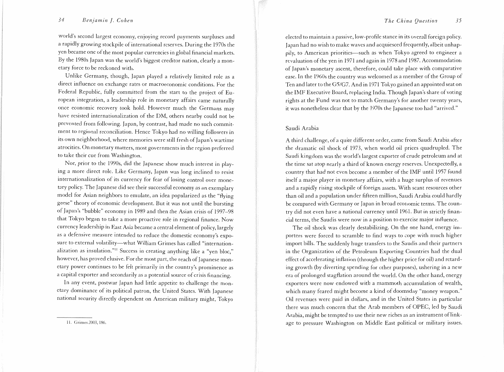world's second largest economy, enjoying record payments surpluses and a rapidly growing stockpile of international reserves. During the 1970s the yen became one of the most popular currencies in global financial markets. By the 1980s Japan was the world's biggest creditor nation, clearly a monetary force to be reckoned with.

Unlike Germany, though, Japan played a relatively limited role as a direct influence on exchange rates or macroeconomic conditions. For the Federal Republic, fully committed from the start to the project of European integration, a leadership role in monetary affairs came naturally once economic recovery took hold. However much the Germans may have resisted internationalization of the DM, others nearby could not be prevented from following. Japan, by contrast, had made no such commitment to regional reconciliation. Hence Tokyo had no willing followers in its own neighborhood, where memories were still fresh of Japan's wartime atrocities. On monetary matters, most governments in the region preferred to take their cue from Washington.

Nor, prior to the 1990s, did the Japanese show much interest in playing a more direct role. Like Germany, Japan was long inclined to resist internationalization of its currency for fear of losing control over monetary policy. The Japanese did see their successful economy as an exemplary model for Asian neighbors to emulate, an idea popularized as the "flying geese" theory of economic development. But it was not until the bursting of Japan's "bubble" economy in 1989 and then the Asian crisis of 1997-98 that Tokyo began to take a more proactive role in regional finance. Now currency leadership in East Asia became a central element of policy, largely as a defensive measure intended to reduce the domestic economy's exposure to external volatility--what William Grimes has called "internationalization as insulation."<sup>11</sup> Success in creating anything like a "yen bloc," however, has proved elusive. For the most part, the reach of Japanese monetary power continues to be felt primarily in the country's prominence as a capital exporter and secondarily as a potential source of crisis financing.

In any event, postwar Japan had little appetite to challenge the monetary dominance of its political patron, the United States. With Japanese national security directly dependent on American military might, Tokyo

elected to maintain a passive, low-profile stance in its overall foreign policy. Japan had no wish to make waves and acquiesced frequently, albeit unhappily, to American priorities—such as when Tokyo agreed to engineer a revaluation of the yen in 1971 and again in 1978 and 1987. Accommodation of Japan's monetary ascent, therefore, could take place with comparative ease. In the 1960s the country was welcomed as a member of the Group of Ten and later to the G5/G7. And in 1971 Tokyo gained an appointed seat on the IMF Executive Board, replacing India. Though Japan's share of voting rights at the Fund was not to match Germany's for another twenty years, it was nonetheless clear that by the 1970s the Japanese too had "arrived."

# Saudi Arabia

A third challenge, of a quite different order, came from Saudi Arabia after the dramatic oil shock of 1973, when world oil prices quadrupled. The Saudi kingdom was the world's largest exporter of crude petroleum and at the time sat atop nearly a third of known energy reserves. Unexpectedly, a country that had not even become a member of the IMF until1957 found itself a major player in monetary affairs, with a huge surplus of revenues and a rapidly rising stockpile of foreign assets. With scant resources other than oil and a population under fifteen million, Saudi Arabia could hardly be compared with Germany or Japan in broad economic terms. The country did not even have a national currency until 1961. But in strictly financial terms, the Saudis were now in a position to exercise major influence.

The oil shock was clearly destabilizing. On the one hand, energy importers were forced to scramble to find ways to cope with much higher import bills. The suddenly huge transfers to the Saudis and their partners in the Organization of the Petroleum Exporting Countries had the dual effect of accelerating inflation (through the higher price for oil) and retarding growth (by diverting spending for other purposes), ushering in a new era of prolonged stagflation around the world. On the other hand, energy exporters were now endowed with a mammoth accumulation of wealth, which many feared might become a kind of doomsday "money weapon." Oil revenues were paid in dollars, and in the United States in particular there was much concern that the Arab members of OPEC, led by Saudi Arabia, might be tempted to use their new riches as an instrument of linkage to pressure Washington on Middle East political or military issues.

ll. Grimes 2003, 186.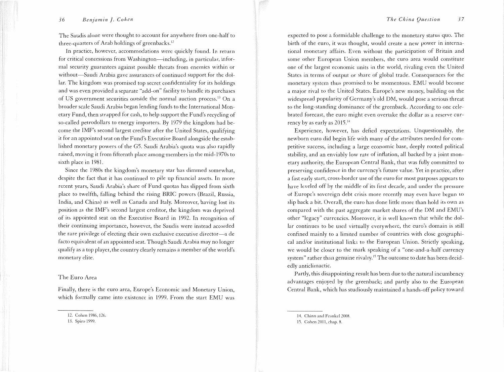The Saudis alone were thought to account for anywhere from one-half to three-quarters of Arab holdings of greenbacks.<sup>12</sup>

In practice, however, accommodations were quickly found. In return for critical concessions from Washington-including, in particular, informal security guarantees against possible threats from enemies within or without—Saudi Arabia gave assurances of continued support for the dollar. The kingdom was promised top secret confidentiality for its holdings and was even provided a separate "add-on" facility to handle its purchases of US government securities outside the normal auction process. 13 On a broader scale Saudi Arabia began lending funds to the International Monetary Fund, then strapped for cash, to help support the Fund's recycling of so-called petrodollars to energy importers. By 1979 the kingdom had become the IMP's second largest creditor after the United States, qualifying it for an appointed seat on the Fund's Executive Board alongside the established monetary powers of the G5. Saudi Arabia's quota was also rapidly raised, moving it from fifteenth place among members in the mid-1970s to sixth place in 1981.

Since the 1980s the kingdom's monetary star has dimmed somewhat, despite the fact that it has continued to pile up financial assets. In more recent years, Saudi Arabia's share of Fund quotas has slipped from sixth place to twelfth, falling behind the rising ERIC powers (Brazil, Russia, India, and China) as well as Canada and Italy. Moreover, having lost its position as the IMP's second largest creditor, the kingdom was deprived of its appointed seat on the Executive Board in 1992. In recognition of their continuing importance, however, the Saudis were instead accorded the rare privilege of electing their own exclusive executive director-a de facto equivalent of an appointed seat. Though Saudi Arabia may no longer qualify as a top player, the country clearly remains a member of the world's monetary elite.

#### The Euro Area

Finally, there is the euro area, Europe's Economic and Monetary Union, which formally came into existence in 1999. From the start EMU was

expected to pose a formidable challenge to the monetary status quo. The birth of the euro, it was thought, would create a new power in international monetary affairs. Even without the participation of Britain and some other European Union members, the euro area would constitute one of the largest economic units in the world, rivaling even the United States in terms of output or share of global trade. Consequences for the monetary system thus promised to be momentous. EMU would become a major rival to the United States. Europe's new money, building on the widespread popularity of Germany's old DM, would pose a serious threat to the long-standing dominance of the greenback. According to one celebrated forecast, the euro might even overtake the dollar as a reserve currency by as early as 2015. <sup>14</sup>

Experience, however, has defied expectations. Unquestionably, the newborn euro did begin life with many of the attributes needed for competitive success, including a large economic base, deeply rooted political stability, and an enviably low rate of inflation, all backed by a joint monetary authority, the European Central Bank, that was fully committed to preserving confidence in the currency's future value. Yet in practice, after a fast early start, cross-border use of the euro for most purposes appears to have leveled off by the middle of its first decade, and under the pressure of Europe's sovereign debt crisis more recently may even have begun to slip back a bit. Overall, the euro has done little more than hold its own as compared with the past aggregate market shares of the DM and EMU's other "legacy" currencies. Moreover, it is well known that while the dollar continues to be used virtually everywhere, the euro's domain is still confined mainly to a limited number of countries with close geographical and/or institutional links to the European Union. Strictly speaking, we would be closer to the mark speaking of a "one-and-a-half currency system" rather than genuine rivalry.<sup>15</sup> The outcome to date has been decidedly anticlimactic.

Partly, this disappointing result has been due to the natural incumbency advantages enjoyed by the greenback; and partly also to the European Central Bank, which has studiously maintained a hands-off policy toward

<sup>12.</sup> Cohen 1986, 126.

<sup>13.</sup> Spiro 1999.

<sup>14.</sup> Chinn and Frankel 2008.

<sup>15.</sup> Cohen 2011, chap. 8.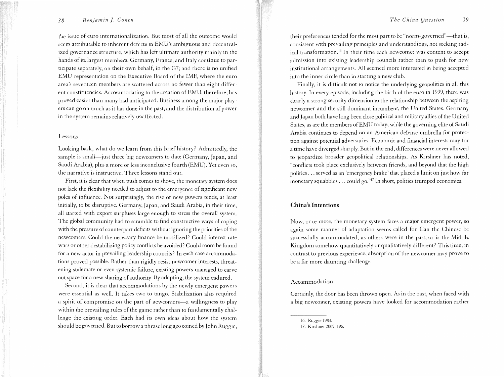the issue of euro internationalization. But most of all the outcome would seem attributable to inherent defects in EMU's ambiguous and decentralized governance structure, which has left ultimate authority mainly in the hands of its largest members. Germany, France, and Italy continue to participate separately, on their own behalf, in the G7; and there is no unified EMU representation on the Executive Board of the IMF, where the euro area's seventeen members are scattered across no fewer than eight different constituencies. Accommodating to the creation of EMU, therefore, has proved easier than many had anticipated. Business among the major players can go on much as it has done in the past, and the distribution of power in the system remains relatively unaffected.

#### Lessons

Looking back, what do we learn from this brief history? Admittedly, the sample is small—just three big newcomers to date (Germany, Japan, and Saudi Arabia), plus a more or less inconclusive fourth (EMU). Yet even so, the narrative is instructive. Three lessons stand out.

First, it is clear that when push comes to shove, the monetary system does not lack the flexibility needed to adjust to the emergence of significant new poles of influence. Not surprisingly, the rise of new powers tends, at least initially, to be disruptive. Germany, Japan, and Saudi Arabia, in their time, all started with export surpluses large enough to stress the overall system. The global community had to scramble to find constructive ways of coping with the pressure of counterpart deficits without ignoring the priorities of the newcomers. Could the necessary finance be mobilized? Could interest rate wars or other destabilizing policy conflicts be avoided? Could room be found for a new actor in prevailing leadership councils? In each case accommodations proved possible. Rather than rigidly resist newcomer interests, threatening stalemate or even systemic failure, existing powers managed to carve out space for a new sharing of authority. By adapting, the system endured.

Second, it is clear that accommodations by the newly emergent powers were essential as well. It takes two to tango. Stabilization also required a spirit of compromise on the part of newcomers-a willingness to play within the prevailing rules of the game rather than to fundamentally challenge the existing order. Each had its own ideas about how the system should be governed. But to borrow a phrase long ago coined by John Ruggie,

their preferences tended for the most part to be "norm-governed"—that is, consistent with prevailing principles and understandings, not seeking radical transformation.<sup>16</sup> In their time each newcomer was content to accept admission into existing leadership councils rather than to push for new institutional arrangements. All seemed more interested in being accepted into the inner circle than in starting a new club.

Finally, it is difficult not to notice the underlying geopolitics in all this history. In every episode, including the birth of the euro in 1999, there was clearly a strong security dimension to the relationship between the aspiring newcomer and the still dominant incumbent, the United States. Germany and Japan both have long been close political and military allies of the United States, as are the members of EMU today; while the governing elite of Saudi Arabia continues to depend on an American defense umbrella for protection against potential adversaries. Economic and financial interests may for a time have diverged sharply. But in the end, differences were never allowed to jeopardize broader geopolitical relationships. As Kirshner has noted, "conflicts took place exclusively between friends, and beyond that the high politics ... served as an 'emergency brake' that placed a limit on just how far monetary squabbles . . . could go."<sup>17</sup> In short, politics trumped economics.

## **China's Intentions**

Now, once more, the monetary system faces a major emergent power, so again some manner of adaptation seems called for. Can the Chinese be successfully accommodated, as others were in the past, or is the Middle Kingdom somehow quantitatively or qualitatively different? This time, in contrast to previous experience, absorption of the newcomer may prove to be a far more daunting challenge.

#### Accommodation

Certainly, the door has been thrown open. As in the past, when faced with a big newcomer, existing powers have looked for accommodation rather

<sup>16.</sup> Ruggie 1983. 17. Kirshner 2009, 196.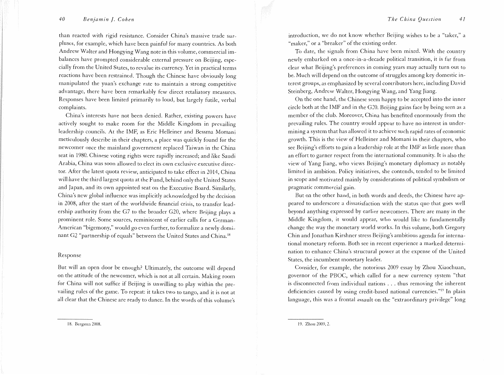than reacted with rigid resistance. Consider China's massive trade surpluses, for example, which have been painful for many countries. As both Andrew Walter and Hongying Wang note in this volume, commercial imbalances have prompted considerable external pressure on Beijing, especially from the United States, to revalue its currency. Yet in practical terms reactions have been restrained. Though the Chinese have obviously long manipulated the yuan's exchange rate to maintain a strong competitive advantage, there have been remarkably few direct retaliatory measures. Responses have been limited primarily to loud, but largely futile, verbal complaints.

China's interests have not been denied. Rather, existing powers have actively sought to make room for the Middle Kingdom in prevailing leadership councils. At the IMF, as Eric Helleiner and Bessma Momani meticulously describe in their chapters, a place was quickly found for the newcomer once the mainland government replaced Taiwan in the China seat in 1980. Chinese voting rights were rapidly increased; and like Saudi Arabia, China was soon allowed to elect its own exclusive executive director. After the latest quota review, anticipated to take effect in 2014, China will have the third largest quota at the Fund, behind only the United States and Japan, and its own appointed seat on the Executive Board. Similarly, China's new global influence was implicitly acknowledged by the decision in 2008, after the start of the worldwide financial crisis, to transfer leadership authority from the G7 to the broader G20, where Beijing plays a prominent role. Some sources, reminiscent of earlier calls for a German-American "bigemony," would go even further, to formalize a newly dominant G2 "partnership of equals" between the United States and China. <sup>18</sup>

#### Response

But will an open door be enough? Ultimately, the outcome will depend on the attitude of the newcomer, which is not at all certain. Making room for China will not suffice if Beijing is unwilling to play within the prevailing rules of the game. To repeat: it takes two to tango, and it is not at all clear that the Chinese are ready to dance. In the words of this volume's introduction, we do not know whether Beijing wishes to be a "taker," a "maker," or a "breaker" of the existing order.

To date, the signals from China have been mixed. With the country newly embarked on a once-in-a-decade political transition, it is far from clear what Beijing's preferences in coming years may actually turn out to be. Much will depend on the outcome of struggles among key domestic interest groups, as emphasized by several contributors here, including David Steinberg, Andrew Walter, Hongying Wang, and Yang Jiang.

On the one hand, the Chinese seem happy to be accepted into the inner circle both at the IMF and in the G20. Beijing gains face by being seen as a member of the club. Moreover, China has benefited enormously from the prevailing rules. The country would appear to have no interest in undermining a system that has allowed it to achieve such rapid rates of economic growth. This is the view of Helleiner and Momani in their chapters, who see Beijing's efforts to gain a leadership role at the IMF as little more than an effort to garner respect from the international community. It is also the view of Yang Jiang, who views Beijing's monetary diplomacy as notably limited in ambition. Policy initiatives, she contends, tended to be limited in scope and motivated mainly by considerations of political symbolism or pragmatic commercial gain.

But on the other hand, in both words and deeds, the Chinese have appeared to underscore a dissatisfaction with the status guo that goes well beyond anything expressed by earlier newcomers. There are many in the Middle Kingdom, it would appear, who would like to fundamentally change the way the monetary world works. In this volume, both Gregory Chin and Jonathan Kirshner stress Beijing's ambitious agenda for international monetary reform. Both see in recent experience a marked determination to enhance China's structural power at the expense of the United States, the incumbent monetary leader.

Consider, for example, the notorious 2009 essay by Zhou Xiaochuan, governor of the PBOC, which called for a new currency system "that is disconnected from individual nations ... thus removing the inherent deficiencies caused by using credit-based national currencies."<sup>19</sup> In plain language, this was a frontal assault on the "extraordinary privilege" long

<sup>18.</sup> Bergsten 2008.

<sup>19.</sup> Zhou 2009,2.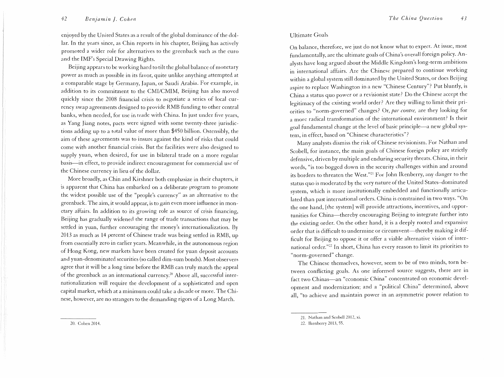enjoyed by the United States as a result of the global dominance of the dollar. In the years since, as Chin reports in his chapter, Beijing has actively promoted a wider role for alternatives to the greenback such as the euro and the IMP's Special Drawing Rights.

Beijing appears to be working hard to tilt the global balance of monetary power as much as possible in its favor, quite unlike anything attempted at a comparable stage by Germany, Japan, or Saudi Arabia. For example, in addition to its commitment to the CMI/CMIM, Beijing has also moved quickly since the 2008 financial crisis to negotiate a series of local currency swap agreements designed to provide RMB funding to other central banks, when needed, for use in trade with China. In just under five years, as Yang Jiang notes, pacts were signed with some twenty-three jurisdictions adding up to a total value of more than \$450 billion. Ostensibly, the aim of these agreements was to insure against the kind of risks that could come with another financial crisis. But the facilities were also designed to supply yuan, when desired, for use in bilateral trade on a more regular basis-in effect, to provide indirect encouragement for commercial use of the Chinese currency in lieu of the dollar.

More broadly, as Chin and Kirshner both emphasize in their chapters, it is apparent that China has embarked on a deliberate program to promote the widest possible use of the "people's currency" as an alternative to the greenback. The aim, it would appear, is to gain even more influence in monetary affairs. In addition to its growing role as source of crisis financing, Beijing has gradually widened the range of trade transactions that may be settled in yuan, further encouraging the money's internationalization. By 2013 as much as 14 percent of Chinese trade was being settled in RMB, up from essentially zero in earlier years. Meanwhile, in the autonomous region of Hong Kong, new markets have been created for yuan deposit accounts and yuan-denominated securities (so called dim-sum bonds). Most observers agree that it will be a long time before the RMB can truly match the appeal of the greenback as an international currency.20 Above all, successful internationalization will require the development of a sophisticated and open capital market, which at a minimum could take a decade or more. The Chinese, however, are no strangers to the demanding rigors of a Long March.

#### Ultimate Goals

On balance, therefore, we just do not know what to expect. At issue, most fundamentally, are the ultimate goals of China's overall foreign policy. Analysts have long argued about the Middle Kingdom's long-term ambitions in international affairs. Are the Chinese prepared to continue working within a global system still dominated by the United States, or does Beijing aspire to replace Washington in a new "Chinese Century"? Put bluntly, is China a status quo power or a revisionist state? Do the Chinese accept the legitimacy of the existing world order? Are they willing to limit their priorities to "norm-governed" changes? Or, *par contre,* are they looking for a more radical transformation of the international environment? Is their goal fundamental change at the level of basic principle-a new global system, in effect, based on "Chinese characteristics"?

Many analysts dismiss the risk of Chinese revisionism. For Nathan and Scobell, for instance, the main goals of Chinese foreign policy are strictly defensive, driven by multiple and enduring security threats. China, in their words, "is too bogged down in the security challenges within and around its borders to threaten the West."<sup>21</sup> For John Ikenberry, any danger to the status quo is moderated by the very nature of the United States-dominated system, which is more institutionally embedded and functionally articulated than past international orders. China is constrained in two ways. "On the one hand, [the system] will provide attractions, incentives, and opportunities for China-thereby encouraging Beijing to integrate further into the existing order. On the other hand, it is a deeply rooted and expansive order that is difficult to undermine or circumvent-thereby making it difficult for Beijing to oppose it or offer a viable alternative vision of international order."<sup>22</sup>In short, China has every reason to limit its priorities to "norm-governed" change.

The Chinese themselves, however, seem to be of two minds, torn between conflicting goals. As one informed source suggests, there are in fact two Chinas-an "economic China" concentrated on economic development and modernization; and a "political China" determined, above all, "to achieve and maintain power in an asymmetric power relation to

<sup>20.</sup> Cohen 2014.

<sup>21.</sup> Nathan and Scobell 2012, xi.

<sup>22.</sup> Ikenberry 2013, 55.